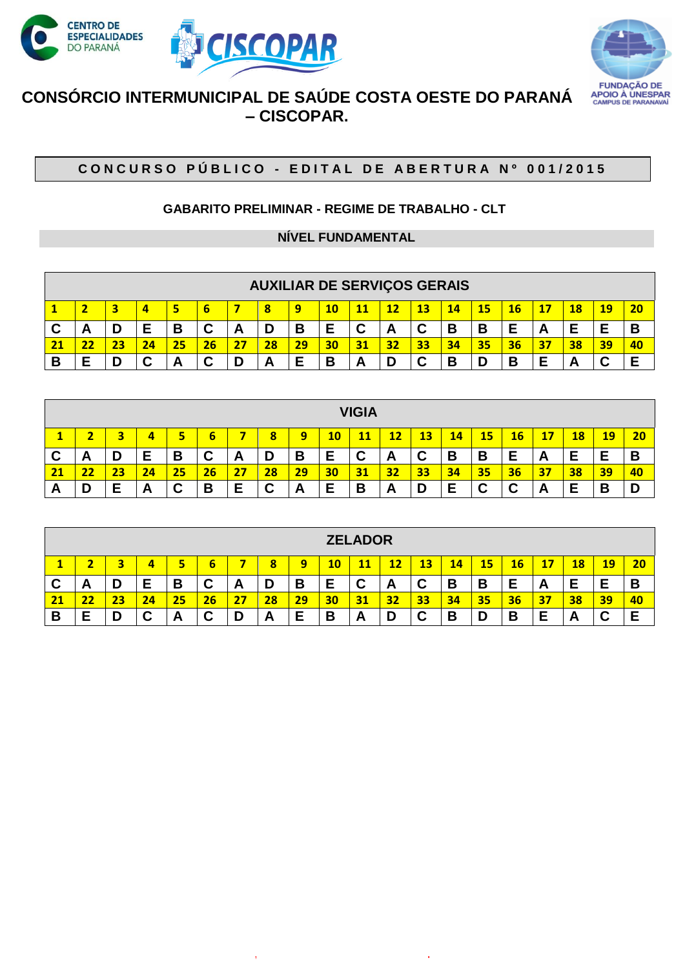



# **CONSÓRCIO INTERMUNICIPAL DE SAÚDE COSTA OESTE DO PARANÁ – CISCOPAR.**

## **C O N C U R S O P Ú B L I C O - E D I T A L D E A B E R T U R A N º 0 0 1 / 2 0 1 5**

### **GABARITO PRELIMINAR - REGIME DE TRABALHO - CLT**

#### **NÍVEL FUNDAMENTAL**

|    |                                                                                                                                  |  |    |    |        |   |    | <b>AUXILIAR DE SERVIÇOS GERAIS</b> |   |        |    |        |    |    |    |    |    |        |    |
|----|----------------------------------------------------------------------------------------------------------------------------------|--|----|----|--------|---|----|------------------------------------|---|--------|----|--------|----|----|----|----|----|--------|----|
|    | $\overline{20}$<br><b>13</b><br>15<br><b>11</b><br><b>14</b><br>19<br>4<br>12<br>18<br>16 <sup>°</sup><br>5<br>6<br>q<br>10<br>8 |  |    |    |        |   |    |                                    |   |        |    |        |    |    |    |    |    |        |    |
| ັ  | A                                                                                                                                |  | E  | В  | ⌒<br>ັ | A |    | В                                  | Е | ◠<br>v | A  | ◠<br>u | В  | B  |    | A  | F  | Е      | B  |
| 21 |                                                                                                                                  |  | 24 | 25 | 26     |   | 28 | 29                                 |   | 31     | 32 | 33     | 34 | 35 | 36 | 37 | 38 | 39     | 40 |
| В  |                                                                                                                                  |  | ⌒  |    | ⌒<br>ັ |   | −  | F                                  | В | A      |    | ⌒      | В  |    | В  |    | A  | ◠<br>v | Е  |

|          |                                                                                                 |    |    |        |        |    |        |    |        | <b>VIGIA</b> |    |        |    |        |    |    |                     |    |    |
|----------|-------------------------------------------------------------------------------------------------|----|----|--------|--------|----|--------|----|--------|--------------|----|--------|----|--------|----|----|---------------------|----|----|
|          | 20<br>5<br>12<br>6<br>16<br>18<br>13<br>15<br>9<br>11<br>17<br>19 <sup>°</sup><br>8<br>10<br>14 |    |    |        |        |    |        |    |        |              |    |        |    |        |    |    |                     |    |    |
| C        | A                                                                                               | D  | Е  | В      | ⌒<br>v | A  | D      | В  | −<br>► | ◠<br>v       | A  | ◠<br>v | В  | В      | E  | A  | Е                   | Е  | B  |
| 21       | - -                                                                                             | 23 | 24 | 25     | 26     | 27 | 28     | 29 | 30     | 31           | 32 | 33     | 34 | 35     | 36 | 37 | $\overline{\bf 38}$ | 39 | 40 |
| <u>r</u> |                                                                                                 | F  | Α  | ⌒<br>v | B      | Е  | r<br>ັ | A  | Е      | B            | A  | D      | F  | ◠<br>ື | r  | A  | Е                   | B  | D  |

|        |                                                                                     |  |        |    |        |          |     |    |    | <b>ZELADOR</b> |    |                           |    |    |        |    |        |        |    |
|--------|-------------------------------------------------------------------------------------|--|--------|----|--------|----------|-----|----|----|----------------|----|---------------------------|----|----|--------|----|--------|--------|----|
|        | 13<br>20<br>12<br>18<br>З<br>8<br>15<br>16<br>14<br>10<br><u> 19</u><br>9<br>b<br>c |  |        |    |        |          |     |    |    |                |    |                           |    |    |        |    |        |        |    |
| r<br>v | A                                                                                   |  | Е      | В  | ⌒<br>v | <u>r</u> |     | В  | Е  | r<br>v         | A  | $\ddot{\phantom{1}}$<br>v | B  | в  |        | A  | F<br>╺ | Е      | B  |
| 21     | 22                                                                                  |  | 24     | 25 | 26     |          | 28  | 29 | 30 | 31             | 32 | 33                        | 34 | 35 | 36     | 37 | 38     | 39     | 40 |
| В      | _<br>┕                                                                              |  | ⌒<br>ື | n  | v      |          | гJ, | Ε  | В  | A              |    | ⌒<br>u                    | В  |    | Ð<br>D |    | A      | ◠<br>ັ | Е  |

www.pciconcursos.com.br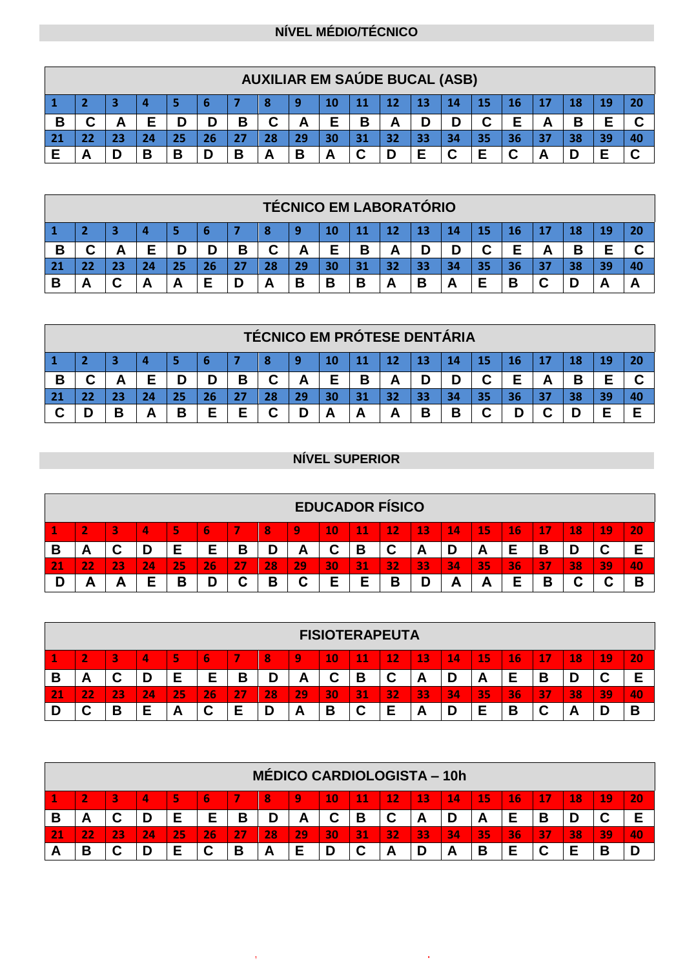### **NÍVEL MÉDIO/TÉCNICO**

|                 |                                                            |  |  |    |    |  |    | <b>AUXILIAR EM SAÚDE BUCAL (ASB)</b> |  |    |    |    |    |    |    |  |    |    |
|-----------------|------------------------------------------------------------|--|--|----|----|--|----|--------------------------------------|--|----|----|----|----|----|----|--|----|----|
|                 | 20<br>13<br>15<br>14<br>16<br>12<br>11                     |  |  |    |    |  |    |                                      |  |    |    |    |    |    |    |  |    |    |
| D               | ⌒<br>Е<br>⌒<br>D<br>B<br>В<br>Β<br>A<br>Α<br>ັ<br><u>r</u> |  |  |    |    |  |    |                                      |  |    |    |    |    |    |    |  |    |    |
|                 |                                                            |  |  |    |    |  |    |                                      |  |    |    |    |    |    |    |  |    |    |
| $\overline{21}$ |                                                            |  |  | 25 | 26 |  | 28 | 29                                   |  | 31 | 32 | 33 | 34 | 35 | 36 |  | эс | 40 |

|                |                                  |   |  |    |    |   |        |    |        |    |    | <b>TÉCNICO EM LABORATÓRIO</b> |   |        |    |   |   |   |                |
|----------------|----------------------------------|---|--|----|----|---|--------|----|--------|----|----|-------------------------------|---|--------|----|---|---|---|----------------|
| $\blacksquare$ | 20<br>12<br>13<br>14<br>15<br>16 |   |  |    |    |   |        |    |        |    |    |                               |   |        |    |   |   |   |                |
| Б<br>Ð         | ⌒                                | o |  | n  | D  | В | ⌒<br>u | Ē  | Е      | Β  | A  | D                             | D | ◠<br>u | Е  | 冖 | б |   |                |
| $\sqrt{21}$    |                                  |   |  | 25 | 26 |   | 28     | 29 |        | 31 | 32 | 33                            |   | 35     | 36 |   |   |   | $\overline{a}$ |
|                | A                                |   |  | ┍  | Е  |   |        | В  | D<br>ь | В  | Α  | В                             | A |        | В  |   |   | А |                |

|           |                |        |  |    |    |   |        |    |   |    |    | <b>TÉCNICO EM PRÓTESE DENTÁRIA</b> |   |   |    |   |  |    |
|-----------|----------------|--------|--|----|----|---|--------|----|---|----|----|------------------------------------|---|---|----|---|--|----|
|           | 13<br>12<br>14 |        |  |    |    |   |        |    |   |    |    |                                    |   |   |    |   |  |    |
|           |                |        |  |    | D  | В | u      |    | Е | В  | А  | D                                  |   | ⌒ | Е  | ┍ |  |    |
| <b>21</b> |                |        |  | 25 | 26 |   | 28     | 29 |   | 31 | 32 | 33                                 |   |   | 36 |   |  | 40 |
|           |                | в<br>D |  | В  | E  | E | ⌒<br>v |    |   | A  |    | В                                  | B | ⌒ |    |   |  |    |

## **NÍVEL SUPERIOR**

|   |                                                                                                         |    |    |    |        |        |     |          | <b>EDUCADOR FÍSICO</b> |    |        |    |    |    |        |        |    |    |           |
|---|---------------------------------------------------------------------------------------------------------|----|----|----|--------|--------|-----|----------|------------------------|----|--------|----|----|----|--------|--------|----|----|-----------|
|   | 20<br>16<br>$\sim$<br>18<br>19<br>5<br>12<br>13<br>14<br>15<br>9<br>10<br>8<br>4<br>11<br>lЬ.<br>$\sim$ |    |    |    |        |        |     |          |                        |    |        |    |    |    |        |        |    |    |           |
| В | <b>1</b>                                                                                                |    |    | E  | F      | в      |     | <b>A</b> | ີ                      | В  | r<br>ັ | A  | υ  | A  |        |        |    | ື  |           |
|   | ワフ                                                                                                      | 23 | 24 | 25 | 26     | o.     | 28' | 29       | 30                     | 31 | 32     | 33 | 34 | 35 | 36     | 37     | 38 | 39 | <b>40</b> |
|   | ┍                                                                                                       | Ē  | -  | В  | r<br>U | ⌒<br>u | B   | ⌒<br>ື   | E                      | -  | В      | r  | A  | A  | Е<br>▃ | D<br>о |    |    | B         |

|   |                                                                                                                                       |                                                       |    |           |        |    |    |    |        |        | <b>FISIOTERAPEUTA</b> |    |    |          |    |    |    |    |    |
|---|---------------------------------------------------------------------------------------------------------------------------------------|-------------------------------------------------------|----|-----------|--------|----|----|----|--------|--------|-----------------------|----|----|----------|----|----|----|----|----|
|   | 5<br>13<br>19<br>$\overline{\phantom{a}}$<br>9<br>12<br>15<br>16<br>3<br>10<br>11<br>17<br>20<br>4<br><b>187</b><br>8<br>14<br>$\sim$ |                                                       |    |           |        |    |    |    |        |        |                       |    |    |          |    |    |    |    |    |
| В | -                                                                                                                                     | ⌒<br>ີ                                                | ப  | F<br>▃    | Е      | В  |    | -  | ⌒      | В      | C                     | n  |    | <u>r</u> |    | В  |    | ັ  | E  |
|   | D<br>$-1$                                                                                                                             | $\overline{\phantom{a}}$<br>$\sim$<br><b>CONTRACT</b> | 24 | 25        | 26     | 27 | 28 | 29 | 30     | 31     | 32                    | 33 | 34 | 35       | 36 | 37 | 38 | 39 | 40 |
|   | u                                                                                                                                     | B                                                     | Е  | <u>гч</u> | ⌒<br>◡ | Е  |    | A  | Ð<br>D | ◠<br>ີ | Е                     | n  |    |          | В  | ັ  | A  |    | В  |

|   |                                                                                               |          |    |    |    |   |          | <b>MÉDICO CARDIOLOGISTA - 10h</b> |    |        |        |    |    |    |           |    |    |    |           |
|---|-----------------------------------------------------------------------------------------------|----------|----|----|----|---|----------|-----------------------------------|----|--------|--------|----|----|----|-----------|----|----|----|-----------|
|   | 20<br>÷<br>13<br>15<br>19<br>12<br>16<br>10<br>5,<br>17<br>18<br>14<br>8<br>11<br>4<br>9<br>ъ |          |    |    |    |   |          |                                   |    |        |        |    |    |    |           |    |    |    |           |
| В | $\sqrt{ }$                                                                                    |          |    | Е  | E  | В |          | A                                 | ັ  | В      | ◠<br>ື | A  |    | A  |           | В  | D  | ັ  |           |
|   |                                                                                               | つつ<br>23 | 24 | 25 | 26 |   | 28       | 29                                | 30 | 131    | 32     | 33 | 34 | 35 | <b>36</b> | 37 | 38 | 39 | <b>A0</b> |
| A | D                                                                                             |          | D  | Е  | u  | В | <u>r</u> |                                   |    | ~<br>u | A      | ц  | r. | В  |           |    |    | В  | D         |

www.pciconcursos.com.br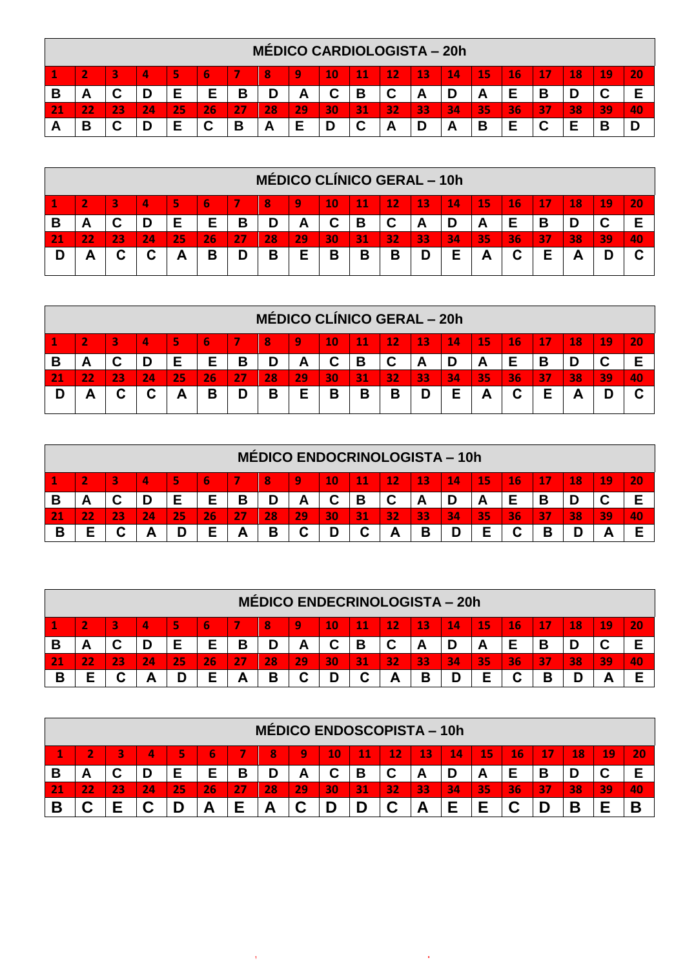|   |                                                                                                         |    |    |    |    |        | <b>MÉDICO CARDIOLOGISTA – 20h</b> |    |    |   |    |    |    |    |    |    |    |    |    |
|---|---------------------------------------------------------------------------------------------------------|----|----|----|----|--------|-----------------------------------|----|----|---|----|----|----|----|----|----|----|----|----|
|   | 6<br>16<br>20<br>12<br>$\mathbf{14}$<br>15<br>18<br>19<br>13<br>э<br>9<br>10<br>17<br>8<br>4<br>11<br>5 |    |    |    |    |        |                                   |    |    |   |    |    |    |    |    |    |    |    |    |
| В | A                                                                                                       |    | D  | c  | E  | D<br>D | D                                 |    |    | В | ັ  | A  |    | A  | −  | D  |    |    |    |
|   | $-1$                                                                                                    | 72 | 24 | 25 | 26 |        | 28                                | 29 | 30 |   | 32 | 33 | 34 | 35 | 36 | 37 | 38 | 39 | 40 |
| A | В                                                                                                       |    | D  |    | ⌒  | Ð      | -                                 |    |    |   | А  | D  | A  | В  |    |    |    | В  |    |

|   |                                                                                                                                                 |    |                          |    |    |    |    | <b>MÉDICO CLÍNICO GERAL - 10h</b> |    |    |    |    |    |    |    |        |    |    |    |
|---|-------------------------------------------------------------------------------------------------------------------------------------------------|----|--------------------------|----|----|----|----|-----------------------------------|----|----|----|----|----|----|----|--------|----|----|----|
|   | $\bf 11$<br>12<br>13<br>45<br>19<br>5<br>10<br>14<br>16<br>20<br>3<br>$\overline{\mathbf{A}}$<br>18<br>$\overline{\phantom{a}}$<br>9<br>17<br>b |    |                          |    |    |    |    |                                   |    |    |    |    |    |    |    |        |    |    |    |
| В | -                                                                                                                                               |    | D                        | Е  | Е  | Β  |    | A                                 |    | В  | r  | A  |    | A  |    | D<br>D |    |    | E  |
|   | $-1$                                                                                                                                            | 23 | 24                       | 25 | 26 | 27 | 28 | 29                                | 30 | 31 | 32 | 33 | 34 | 35 | 36 | 37     | 38 | 39 | 40 |
|   | Α                                                                                                                                               |    | $\overline{\phantom{a}}$ | A  | B  | D  | B  | F                                 | В  | В  | В  | D  | Е  | A  | C  | Е      | −  |    | ⌒  |

|   |                                                                                 |    |    |    |    |    |    | <b>MÉDICO CLÍNICO GERAL - 20h</b> |    |    |        |    |    |    |    |        |    |    |    |
|---|---------------------------------------------------------------------------------|----|----|----|----|----|----|-----------------------------------|----|----|--------|----|----|----|----|--------|----|----|----|
|   | 20<br>15<br><b>13</b><br>16<br>12<br>14<br>18<br>19<br>10<br>4<br>9<br>13<br>11 |    |    |    |    |    |    |                                   |    |    |        |    |    |    |    |        |    |    |    |
| Ð |                                                                                 |    | D  |    | Е  | В  | D  | A                                 |    | В  | ⌒<br>ັ | A  |    | A  |    | в<br>о |    |    |    |
|   | . .                                                                             | 23 | 24 | 25 | 26 | 27 | 28 | 29                                | 30 | 31 | 32     | 33 | 34 | 35 | 36 | 37     | 38 | 39 | 40 |
|   |                                                                                 |    |    | Α  | В  | D  | B  | E                                 | В  | В  | В      | D  | E  | A  | С  |        |    |    |    |

|   |                                                                                           |                          |    |    |    |   |    |              |    |     | <b>MÉDICO ENDOCRINOLOGISTA - 10h</b> |    |    |    |    |        |    |        |    |
|---|-------------------------------------------------------------------------------------------|--------------------------|----|----|----|---|----|--------------|----|-----|--------------------------------------|----|----|----|----|--------|----|--------|----|
|   | 19<br>20<br>3<br>5<br>9<br>13<br>15<br>4<br>10<br>11<br>12<br>16<br><b>187</b><br>14<br>8 |                          |    |    |    |   |    |              |    |     |                                      |    |    |    |    |        |    |        |    |
| В | -                                                                                         | $\overline{\phantom{a}}$ | D  | Е  | Е  | В |    | $\mathbf{A}$ |    | В   | ◠                                    | n  |    | n  |    | Б<br>D | D  | ◠<br>ັ |    |
|   |                                                                                           | כ כו                     | 24 | 25 | 26 |   | 28 | 29           | 30 | 131 | 32                                   | 33 | 34 | 35 | 36 | 137    | 38 | 39     | 40 |
| B | F                                                                                         |                          | A  | D  | Е  | Α | В  |              |    |     |                                      | B  | D  | E  | r  | В      |    |        | −  |

|   |                                                                                         |  |    |    |    |   |    | <b>MÉDICO ENDECRINOLOGISTA – 20h</b> |    |    |    |        |    |    |    |        |    |    |    |
|---|-----------------------------------------------------------------------------------------|--|----|----|----|---|----|--------------------------------------|----|----|----|--------|----|----|----|--------|----|----|----|
|   | 15<br>5<br>13<br>16<br>19<br>10<br>12<br>18<br>20<br>9<br>3<br>4<br>$\mathbf{11}$<br>14 |  |    |    |    |   |    |                                      |    |    |    |        |    |    |    |        |    |    |    |
|   | -                                                                                       |  | ш  |    | Е  | В |    | A                                    |    | В  | ◠  | A      |    | A  |    |        |    | v  |    |
|   |                                                                                         |  | 24 | 25 | 26 |   | 28 | 29                                   | 30 | 31 | 32 | 33     | 34 | 35 | 36 | 37     | 38 | 39 | 40 |
| В | c                                                                                       |  |    | D  | Е  | Α | B  | ື                                    |    |    | А  | D<br>D | D  | c  | ື  | D<br>D |    |    |    |

|   |                                                                                                                                         |  |    |    |           |    |    | <b>MÉDICO ENDOSCOPISTA - 10h</b> |    |    |        |    |        |           |    |     |    |    |           |
|---|-----------------------------------------------------------------------------------------------------------------------------------------|--|----|----|-----------|----|----|----------------------------------|----|----|--------|----|--------|-----------|----|-----|----|----|-----------|
|   | $\overline{\phantom{a}}$<br>15<br>$\sim$<br>20<br>8<br>13<br>16<br>10<br>12<br>$\mathbf{14}$<br>9<br>10<br>17<br>18<br>b<br>−<br>⌒<br>~ |  |    |    |           |    |    |                                  |    |    |        |    |        |           |    |     |    |    |           |
| Ð | Е<br>В<br>E<br>В<br>D<br>D<br>◠<br>D<br>D<br>А<br>A<br>о<br>ັ<br>ັ<br><u>r</u><br>-                                                     |  |    |    |           |    |    |                                  |    |    |        |    |        |           |    |     |    |    |           |
|   | $-1$                                                                                                                                    |  | 24 | 25 | 26        | つつ | 28 | 29                               | 30 | 31 | 32     | 33 | 34     | <b>35</b> | 36 | 137 | 38 | 39 | <b>40</b> |
| D |                                                                                                                                         |  | ⌒  |    | <b>11</b> | -  |    |                                  |    |    | ⌒<br>ື | ┯┑ | -<br>- | _         |    |     | D  | -  | E         |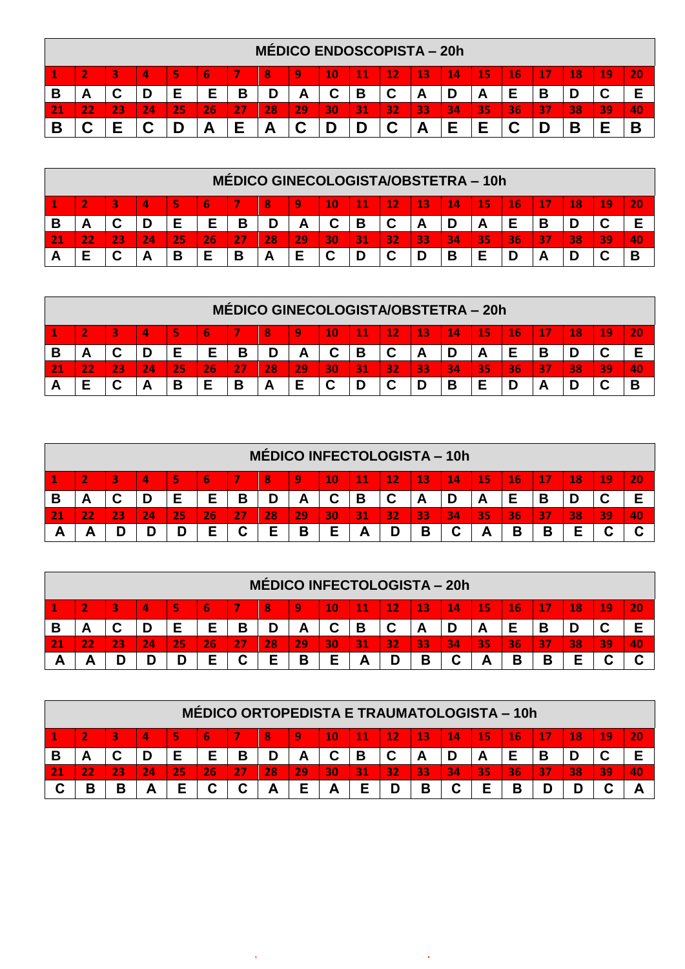|   |   |    |    |    |    |   | <b>MÉDICO ENDOSCOPISTA – 20h</b> |          |    |    |        |    |               |    |    |        |    |    |     |
|---|---|----|----|----|----|---|----------------------------------|----------|----|----|--------|----|---------------|----|----|--------|----|----|-----|
|   |   |    | 4  | 5  | ь  |   | ß                                | q        | 10 | 11 | 12     | 13 | $\mathbf{14}$ | 15 | 16 |        | 18 | 19 | 20  |
| В | A | ີ  | D  |    | Е  | В | D                                | <u>_</u> |    | В  | ◠<br>ີ | A  |               | A  |    | D<br>D |    | ັ  |     |
|   |   | 23 | 24 | 25 | 26 |   | 28                               | 29'      | 30 | 31 | 32     | 33 | 34            | 35 | 36 | 37     | 38 | 39 | /40 |
|   |   |    | r  |    | −  | - |                                  |          |    | n  | r<br>ື | ⌒  | c             |    |    |        |    | F  | Β   |

|   |   |   |    |    |    |    |    | MÉDICO GINECOLOGISTA/OBSTETRA - 10h |             |    |        |        |    |           |      |     |    |        |    |
|---|---|---|----|----|----|----|----|-------------------------------------|-------------|----|--------|--------|----|-----------|------|-----|----|--------|----|
|   |   |   | Δ  | 5  |    |    |    | 9                                   | 10          | 11 | 12     | 13     | 14 | 15        | 16   |     | 18 | 19     | 20 |
| В | Ē |   | D  |    | E  | В  | D  | <b>A</b>                            |             | В  | ◠      | A      |    | A         |      |     |    |        | Е  |
|   |   |   | 24 | 25 | 26 | 27 | 28 | 29                                  | 30          | 31 | 32     | 33     | 34 | <b>35</b> | I36' | 137 | 38 | 39     | 40 |
|   |   | C | А  | В  | Е  | В  | А  |                                     | $\sim$<br>ັ | D  | ◠<br>ື | r<br>ш | В  | Е         |      |     |    | ∽<br>ີ | B  |

|  |   |    |    |    |    |    | MÉDICO GINECOLOGISTA/OBSTETRA - 20h |    |    |     |    |     |    |    |    |    |    |    |
|--|---|----|----|----|----|----|-------------------------------------|----|----|-----|----|-----|----|----|----|----|----|----|
|  |   | ΙД | 5  |    |    |    | 9                                   | 10 | 11 | 12  | 13 | 14' | 15 | 16 |    | 18 | 19 | 20 |
|  |   | ш  |    | E  | В  | D  |                                     |    | B  | ◠   | A  |     | A  |    |    |    |    | F  |
|  |   | 24 | 25 | 26 | 27 | 28 | 29                                  | 30 | 31 | 32. | 33 | 34  | 35 | 36 | 37 | 38 | 39 | 40 |
|  | C | А  | В  | Е  | В  | А  |                                     | ື  | D  | ◠   | D  | В   |    |    |    |    |    | B  |

|   |                                                                                                                               |                                |    |    |    |        |    | MÉDICO INFECTOLOGISTA - 10h |    |    |    |    |        |    |    |    |    |    |    |
|---|-------------------------------------------------------------------------------------------------------------------------------|--------------------------------|----|----|----|--------|----|-----------------------------|----|----|----|----|--------|----|----|----|----|----|----|
|   | 20<br>19<br>5<br>Ι9,<br>13<br>15'<br>$\overline{\phantom{a}}$<br>10<br>$\mathbf{11}$<br><b>16</b><br>18<br>12<br>14<br>Δ<br>8 |                                |    |    |    |        |    |                             |    |    |    |    |        |    |    |    |    |    |    |
| в | r.                                                                                                                            |                                | D  | ►  | Е  | В      |    | -                           |    | В  |    | r. |        | A  |    |    | ш  | ⌒  | −  |
|   | $-1$                                                                                                                          | າວ<br>$\overline{\phantom{a}}$ | 24 | 25 | 26 | 27     | 28 | 29                          | 30 | 31 | 32 | 33 | 34     | 35 | 36 | 37 | 38 | 39 | 40 |
|   |                                                                                                                               |                                |    | D  | Е  | ⌒<br>u | E  | в<br>о                      |    | ┍  | −  | B  | ⌒<br>u | A  | В  | Β  |    |    |    |

|   |                                                                                                 |    |    |    |    |        |    |    |    |               | <b>MÉDICO INFECTOLOGISTA - 20h</b> |      |        |    |    |     |    |    |                          |
|---|-------------------------------------------------------------------------------------------------|----|----|----|----|--------|----|----|----|---------------|------------------------------------|------|--------|----|----|-----|----|----|--------------------------|
|   | $\overline{\phantom{a}}$                                                                        |    | Δ  | 5  |    |        | 8  | 9  | 10 | $\mathbf{11}$ | 12                                 | 13   | 14     | 15 | 16 | 7   | 18 | 19 | 20                       |
| В | Е<br>−<br>В<br>Е<br>В<br>C<br>D<br>D<br>~<br>$\overline{\phantom{a}}$<br>A<br>D<br>r.<br>-<br>Ē |    |    |    |    |        |    |    |    |               |                                    |      |        |    |    |     |    |    |                          |
|   | n<br>$\mathbf{r}$                                                                               | 23 | 24 | 25 | 26 | 27     | 28 | 29 | 30 | 31            | 32                                 | I33' | 34     | 35 | 36 | 137 | 38 | 39 | /40                      |
| Ē |                                                                                                 |    |    | D  | Е  | ⌒<br>u | E  | В  | -  | −             |                                    | B    | ◠<br>u |    | В  | Β   |    |    | $\overline{\phantom{a}}$ |

|        |    |    | <b>MÉDICO ORTOPEDISTA E TRAUMATOLOGISTA - 10h</b> |   |    |          |            |    |    |    |    |    |    |    |    |    |
|--------|----|----|---------------------------------------------------|---|----|----------|------------|----|----|----|----|----|----|----|----|----|
|        | 4  |    | ь                                                 |   | 8  | q        | ${\bf 10}$ | 11 | 12 | 13 | 14 | 15 | 16 | 18 | 19 | 20 |
| o      |    |    |                                                   | В |    | <u>r</u> |            | В  | С  | A  |    | A  |    |    |    |    |
|        | 24 | 25 | 26'                                               |   | 28 | 29       | 30         | 31 | 32 | 33 | 34 | 35 | 36 | 38 | 39 | 40 |
| D<br>D | -  | Е  | ◠<br>u                                            | C | A  |          | Α          |    | D  | В  | C  | E  | Ð  |    |    |    |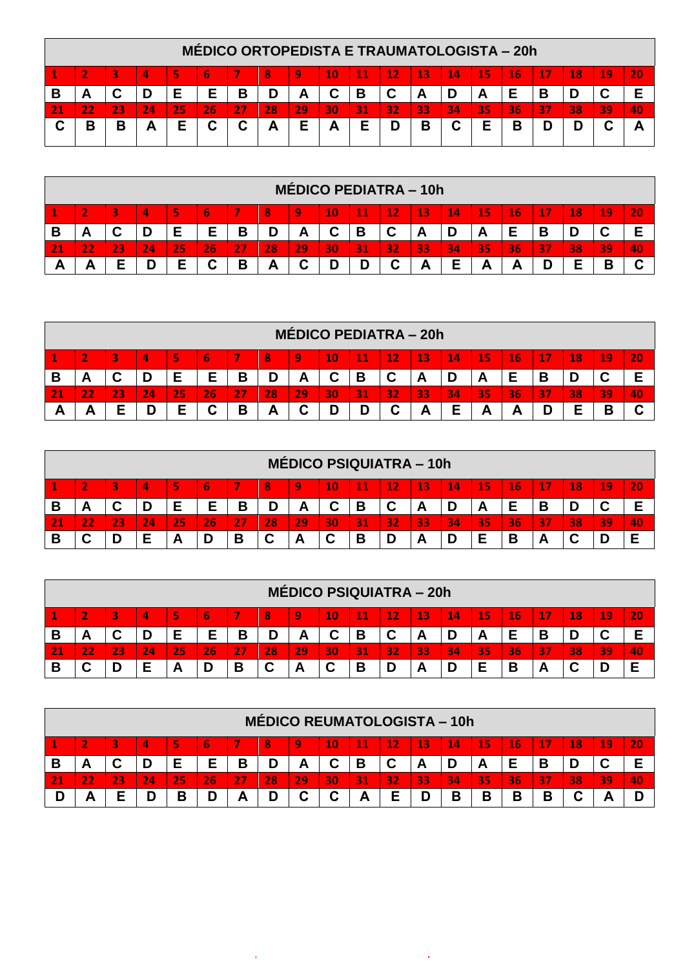|   |                                                                                                                |    |    |    |    |    |     | <b>MÉDICO ORTOPEDISTA E TRAUMATOLOGISTA – 20h</b> |    |    |    |    |    |    |    |    |    |    |    |
|---|----------------------------------------------------------------------------------------------------------------|----|----|----|----|----|-----|---------------------------------------------------|----|----|----|----|----|----|----|----|----|----|----|
|   | 20<br>12<br>16<br>10<br>13<br>$\mathbf{14}^{\prime}$<br>18<br>\19\<br>-15<br>5<br>9<br>8<br>11<br>17<br>4<br>ь |    |    |    |    |    |     |                                                   |    |    |    |    |    |    |    |    |    |    |    |
| В | A                                                                                                              |    |    | Е  | Е  | В  | D   |                                                   |    | В  | С  | А  |    | A  |    | В  |    |    |    |
|   |                                                                                                                | 23 | 24 | 25 | 26 | 27 | 28' | 29                                                | 30 | 31 | 32 | 33 | 34 | 35 | 36 | 37 | 38 | 39 | 40 |
| ◠ | В                                                                                                              | в  | A  | E  | С  | С  | Α   | Е                                                 | A  |    |    | B  | C  | E  | В  |    |    |    |    |

|   |      |   |    |    |        |    |    |        |    |               |        | <b>MÉDICO PEDIATRA - 10h</b> |    |          |          |    |    |    |    |
|---|------|---|----|----|--------|----|----|--------|----|---------------|--------|------------------------------|----|----------|----------|----|----|----|----|
|   |      |   | 4  | 5  | ь      |    | 8  | 9      | 10 | $\mathbf{11}$ | 12     | 13                           | 14 | 15       | 16       | 17 | 18 | 19 | 20 |
| В | -    |   | D  | Е  | E      | В  |    | Д<br>A |    | В             | С      | A                            | D  | <b>A</b> |          | D  |    |    |    |
|   | $-1$ | œ | 24 | 25 | 26     | つつ | 28 | 29     | 30 | 131           | 32     | 33                           | 34 | 35       | 36       | 37 | 38 | 39 | 40 |
|   | ┍    |   |    | E  | ◠<br>◡ | B  | A  | r<br>ັ |    |               | ⌒<br>u | Α                            | Е  | A        | <u>r</u> |    |    | D  |    |

|   |                                                                                    |    |    |    |        |    |    |           |    |    | <b>MÉDICO PEDIATRA – 20h</b> |    |    |          |    |    |    |    |                           |
|---|------------------------------------------------------------------------------------|----|----|----|--------|----|----|-----------|----|----|------------------------------|----|----|----------|----|----|----|----|---------------------------|
|   | 5<br>13<br>15<br>19<br>12<br>16<br>20<br>9<br>10<br>18<br>4<br>$\mathbf{11}$<br>14 |    |    |    |        |    |    |           |    |    |                              |    |    |          |    |    |    |    |                           |
| В | A                                                                                  | r  | D  | Е  | Е      | В  |    | <b>__</b> |    | В  | C                            | A  | D  | <u>r</u> |    | В  |    | C  | E                         |
|   | $\overline{\phantom{a}}$<br>7<br>$-1$                                              | 23 | 24 | 25 | 26     | 27 | 28 | 29        | 30 | 31 | 32                           | 33 | 34 | 35       | 36 | 37 | 38 | 39 | /40                       |
| Ð | Ē                                                                                  |    | D  | F  | ◠<br>u | В  | A  | ⌒<br>ື    |    |    | ⌒                            | A  | Е  | Ē        | ⌒  |    |    | В  | $\ddot{\phantom{1}}$<br>u |

|                                                                                         |  |    |    |    |    |        | <b>MÉDICO PSIQUIATRA - 10h</b> |        |    |        |    |    |    |    |    |        |    |           |
|-----------------------------------------------------------------------------------------|--|----|----|----|----|--------|--------------------------------|--------|----|--------|----|----|----|----|----|--------|----|-----------|
| 6<br>5<br>15<br>12<br>13<br>16<br>19<br>9<br>10<br>18<br>20<br>11<br>14<br>17<br>4<br>8 |  |    |    |    |    |        |                                |        |    |        |    |    |    |    |    |        |    |           |
| A<br>冖                                                                                  |  | D  | Е  | Е  | В  |        | m                              |        | В  | ⌒<br>ັ | A  |    | ⌒  |    | В  | D      | ັ  |           |
|                                                                                         |  | 24 | 25 | 26 | 27 | 28     | 29                             | 30     | 31 | 32     | 33 | 34 | 35 | 36 | 37 | 38     | 39 | <b>40</b> |
|                                                                                         |  | Е  | n  |    | В  | r<br>ັ | A                              | ◠<br>ີ | В  | D      | A  |    | F  | В  | n. | ◠<br>u |    | F         |

|   |                                                                                                      |                           |    |     |    |    |        | <b>MÉDICO PSIQUIATRA – 20h</b> |        |    |        |    |    |    |        |    |    |    |    |
|---|------------------------------------------------------------------------------------------------------|---------------------------|----|-----|----|----|--------|--------------------------------|--------|----|--------|----|----|----|--------|----|----|----|----|
|   | <b>15</b><br>13<br>20<br>5<br>9<br>12<br>14<br>16<br>19<br>10<br>4<br>$\mathbf{11}$<br>17<br>18<br>3 |                           |    |     |    |    |        |                                |        |    |        |    |    |    |        |    |    |    |    |
| В | −                                                                                                    | $\ddot{\phantom{1}}$<br>◡ | D  | Е   | Е  | в  | D      | A                              | ~      | В  | ◠<br>ັ | A  |    | A  |        | D  |    | ັ  | E  |
|   | $-1$                                                                                                 | o.<br>23                  | 24 | 25  | 26 | 27 | 28     | 29                             | 30     | 31 | 32     | 33 | 34 | 35 | 36     | 37 | 38 | 39 | 40 |
| В | $\overline{\phantom{a}}$                                                                             | D                         | Е  | ΓW. | D  | В  | ◠<br>ັ | A                              | ◠<br>ັ | В  |        | А  |    | E  | Ð<br>Е | −  |    | D  | -  |

|   |                                                                              |    |    |    |    |    |    | MÉDICO REUMATOLOGISTA - 10h |    |    |    |    |    |    |        |              |    |    |    |
|---|------------------------------------------------------------------------------|----|----|----|----|----|----|-----------------------------|----|----|----|----|----|----|--------|--------------|----|----|----|
|   | 20<br>15<br>19<br>5<br>12<br>13<br>16<br>18<br>9<br>10<br>14<br>З<br>4<br>11 |    |    |    |    |    |    |                             |    |    |    |    |    |    |        |              |    |    |    |
| В | r.                                                                           | r  | D  | Е  | Е  | В  |    | A                           |    | В  | r  | A  |    | A  | Е      | п<br>D       |    | ັ  |    |
|   | . .                                                                          | 23 | 24 | 25 | 26 | 27 | 28 | 29                          | 30 | 31 | 32 | 33 | 34 | 35 | 36     | $\sim$<br>37 | 38 | 39 | 40 |
|   | -                                                                            |    |    | В  | D  | Α  |    | ~                           |    | A  |    |    | В  | В  | Ð<br>в | D<br>J.      |    |    |    |